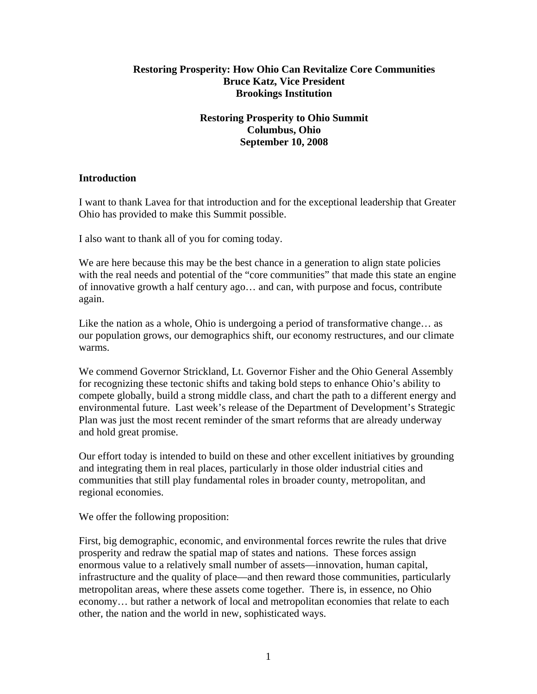## **Restoring Prosperity: How Ohio Can Revitalize Core Communities Bruce Katz, Vice President Brookings Institution**

# **Restoring Prosperity to Ohio Summit Columbus, Ohio September 10, 2008**

## **Introduction**

I want to thank Lavea for that introduction and for the exceptional leadership that Greater Ohio has provided to make this Summit possible.

I also want to thank all of you for coming today.

We are here because this may be the best chance in a generation to align state policies with the real needs and potential of the "core communities" that made this state an engine of innovative growth a half century ago… and can, with purpose and focus, contribute again.

Like the nation as a whole, Ohio is undergoing a period of transformative change… as our population grows, our demographics shift, our economy restructures, and our climate warms.

We commend Governor Strickland, Lt. Governor Fisher and the Ohio General Assembly for recognizing these tectonic shifts and taking bold steps to enhance Ohio's ability to compete globally, build a strong middle class, and chart the path to a different energy and environmental future. Last week's release of the Department of Development's Strategic Plan was just the most recent reminder of the smart reforms that are already underway and hold great promise.

Our effort today is intended to build on these and other excellent initiatives by grounding and integrating them in real places, particularly in those older industrial cities and communities that still play fundamental roles in broader county, metropolitan, and regional economies.

We offer the following proposition:

First, big demographic, economic, and environmental forces rewrite the rules that drive prosperity and redraw the spatial map of states and nations. These forces assign enormous value to a relatively small number of assets—innovation, human capital, infrastructure and the quality of place—and then reward those communities, particularly metropolitan areas, where these assets come together. There is, in essence, no Ohio economy… but rather a network of local and metropolitan economies that relate to each other, the nation and the world in new, sophisticated ways.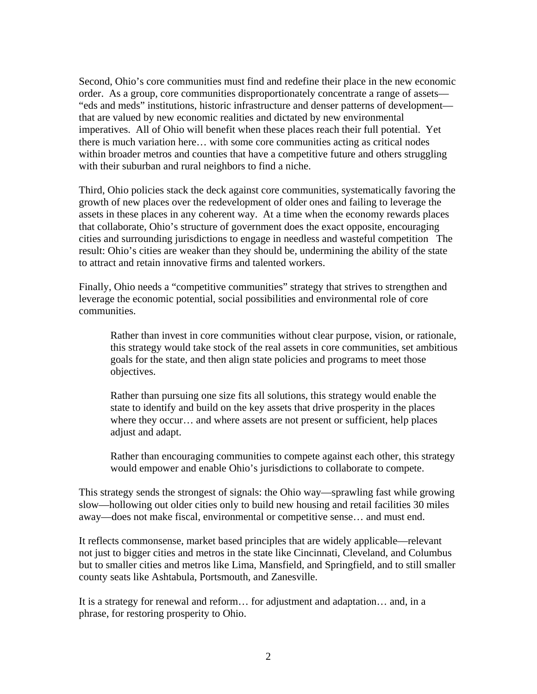Second, Ohio's core communities must find and redefine their place in the new economic order.As a group, core communities disproportionately concentrate a range of assets— "eds and meds" institutions, historic infrastructure and denser patterns of development that are valued by new economic realities and dictated by new environmental imperatives. All of Ohio will benefit when these places reach their full potential. Yet there is much variation here… with some core communities acting as critical nodes within broader metros and counties that have a competitive future and others struggling with their suburban and rural neighbors to find a niche.

Third, Ohio policies stack the deck against core communities, systematically favoring the growth of new places over the redevelopment of older ones and failing to leverage the assets in these places in any coherent way.At a time when the economy rewards places that collaborate, Ohio's structure of government does the exact opposite, encouraging cities and surrounding jurisdictions to engage in needless and wasteful competition The result: Ohio's cities are weaker than they should be, undermining the ability of the state to attract and retain innovative firms and talented workers.

Finally, Ohio needs a "competitive communities" strategy that strives to strengthen and leverage the economic potential, social possibilities and environmental role of core communities.

Rather than invest in core communities without clear purpose, vision, or rationale, this strategy would take stock of the real assets in core communities, set ambitious goals for the state, and then align state policies and programs to meet those objectives.

Rather than pursuing one size fits all solutions, this strategy would enable the state to identify and build on the key assets that drive prosperity in the places where they occur... and where assets are not present or sufficient, help places adjust and adapt.

Rather than encouraging communities to compete against each other, this strategy would empower and enable Ohio's jurisdictions to collaborate to compete.

This strategy sends the strongest of signals: the Ohio way—sprawling fast while growing slow—hollowing out older cities only to build new housing and retail facilities 30 miles away—does not make fiscal, environmental or competitive sense… and must end.

It reflects commonsense, market based principles that are widely applicable—relevant not just to bigger cities and metros in the state like Cincinnati, Cleveland, and Columbus but to smaller cities and metros like Lima, Mansfield, and Springfield, and to still smaller county seats like Ashtabula, Portsmouth, and Zanesville.

It is a strategy for renewal and reform… for adjustment and adaptation… and, in a phrase, for restoring prosperity to Ohio.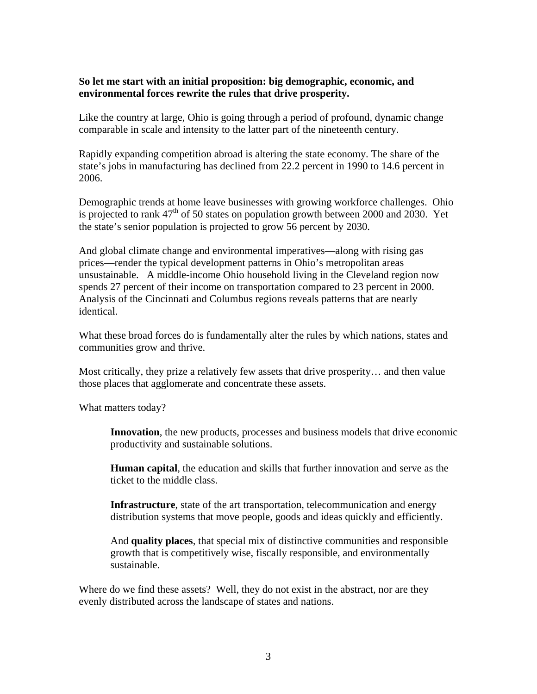## **So let me start with an initial proposition: big demographic, economic, and environmental forces rewrite the rules that drive prosperity.**

Like the country at large, Ohio is going through a period of profound, dynamic change comparable in scale and intensity to the latter part of the nineteenth century.

Rapidly expanding competition abroad is altering the state economy. The share of the state's jobs in manufacturing has declined from 22.2 percent in 1990 to 14.6 percent in 2006.

Demographic trends at home leave businesses with growing workforce challenges. Ohio is projected to rank  $47<sup>th</sup>$  of 50 states on population growth between 2000 and 2030. Yet the state's senior population is projected to grow 56 percent by 2030.

And global climate change and environmental imperatives—along with rising gas prices—render the typical development patterns in Ohio's metropolitan areas unsustainable. A middle-income Ohio household living in the Cleveland region now spends 27 percent of their income on transportation compared to 23 percent in 2000. Analysis of the Cincinnati and Columbus regions reveals patterns that are nearly identical.

What these broad forces do is fundamentally alter the rules by which nations, states and communities grow and thrive.

Most critically, they prize a relatively few assets that drive prosperity… and then value those places that agglomerate and concentrate these assets.

What matters today?

**Innovation**, the new products, processes and business models that drive economic productivity and sustainable solutions.

**Human capital**, the education and skills that further innovation and serve as the ticket to the middle class.

**Infrastructure**, state of the art transportation, telecommunication and energy distribution systems that move people, goods and ideas quickly and efficiently.

And **quality places**, that special mix of distinctive communities and responsible growth that is competitively wise, fiscally responsible, and environmentally sustainable.

Where do we find these assets? Well, they do not exist in the abstract, nor are they evenly distributed across the landscape of states and nations.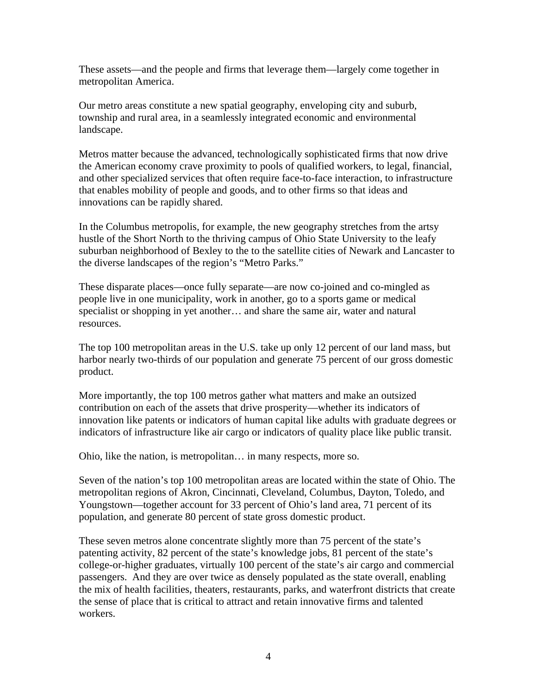These assets—and the people and firms that leverage them—largely come together in metropolitan America.

Our metro areas constitute a new spatial geography, enveloping city and suburb, township and rural area, in a seamlessly integrated economic and environmental landscape.

Metros matter because the advanced, technologically sophisticated firms that now drive the American economy crave proximity to pools of qualified workers, to legal, financial, and other specialized services that often require face-to-face interaction, to infrastructure that enables mobility of people and goods, and to other firms so that ideas and innovations can be rapidly shared.

In the Columbus metropolis, for example, the new geography stretches from the artsy hustle of the Short North to the thriving campus of Ohio State University to the leafy suburban neighborhood of Bexley to the to the satellite cities of Newark and Lancaster to the diverse landscapes of the region's "Metro Parks."

These disparate places—once fully separate—are now co-joined and co-mingled as people live in one municipality, work in another, go to a sports game or medical specialist or shopping in yet another… and share the same air, water and natural resources.

The top 100 metropolitan areas in the U.S. take up only 12 percent of our land mass, but harbor nearly two-thirds of our population and generate 75 percent of our gross domestic product.

More importantly, the top 100 metros gather what matters and make an outsized contribution on each of the assets that drive prosperity—whether its indicators of innovation like patents or indicators of human capital like adults with graduate degrees or indicators of infrastructure like air cargo or indicators of quality place like public transit.

Ohio, like the nation, is metropolitan… in many respects, more so.

Seven of the nation's top 100 metropolitan areas are located within the state of Ohio. The metropolitan regions of Akron, Cincinnati, Cleveland, Columbus, Dayton, Toledo, and Youngstown—together account for 33 percent of Ohio's land area, 71 percent of its population, and generate 80 percent of state gross domestic product.

These seven metros alone concentrate slightly more than 75 percent of the state's patenting activity, 82 percent of the state's knowledge jobs, 81 percent of the state's college-or-higher graduates, virtually 100 percent of the state's air cargo and commercial passengers. And they are over twice as densely populated as the state overall, enabling the mix of health facilities, theaters, restaurants, parks, and waterfront districts that create the sense of place that is critical to attract and retain innovative firms and talented workers.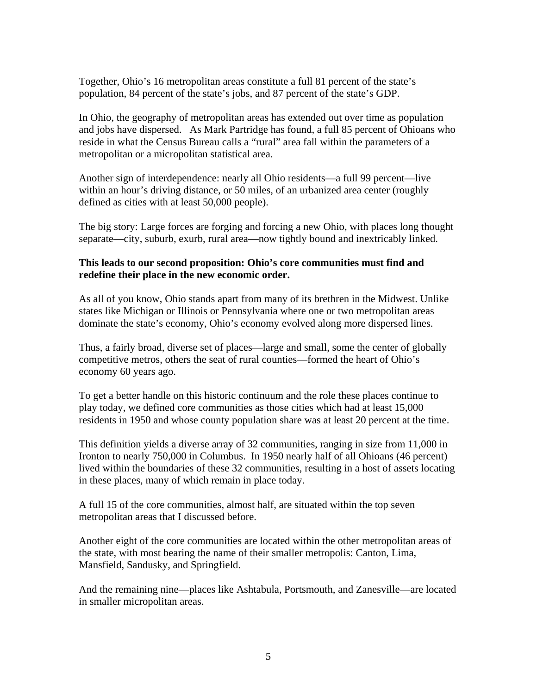Together, Ohio's 16 metropolitan areas constitute a full 81 percent of the state's population, 84 percent of the state's jobs, and 87 percent of the state's GDP.

In Ohio, the geography of metropolitan areas has extended out over time as population and jobs have dispersed. As Mark Partridge has found, a full 85 percent of Ohioans who reside in what the Census Bureau calls a "rural" area fall within the parameters of a metropolitan or a micropolitan statistical area.

Another sign of interdependence: nearly all Ohio residents—a full 99 percent—live within an hour's driving distance, or 50 miles, of an urbanized area center (roughly defined as cities with at least 50,000 people).

The big story: Large forces are forging and forcing a new Ohio, with places long thought separate—city, suburb, exurb, rural area—now tightly bound and inextricably linked.

#### **This leads to our second proposition: Ohio's core communities must find and redefine their place in the new economic order.**

As all of you know, Ohio stands apart from many of its brethren in the Midwest. Unlike states like Michigan or Illinois or Pennsylvania where one or two metropolitan areas dominate the state's economy, Ohio's economy evolved along more dispersed lines.

Thus, a fairly broad, diverse set of places—large and small, some the center of globally competitive metros, others the seat of rural counties—formed the heart of Ohio's economy 60 years ago.

To get a better handle on this historic continuum and the role these places continue to play today, we defined core communities as those cities which had at least 15,000 residents in 1950 and whose county population share was at least 20 percent at the time.

This definition yields a diverse array of 32 communities, ranging in size from 11,000 in Ironton to nearly 750,000 in Columbus. In 1950 nearly half of all Ohioans (46 percent) lived within the boundaries of these 32 communities, resulting in a host of assets locating in these places, many of which remain in place today.

A full 15 of the core communities, almost half, are situated within the top seven metropolitan areas that I discussed before.

Another eight of the core communities are located within the other metropolitan areas of the state, with most bearing the name of their smaller metropolis: Canton, Lima, Mansfield, Sandusky, and Springfield.

And the remaining nine—places like Ashtabula, Portsmouth, and Zanesville—are located in smaller micropolitan areas.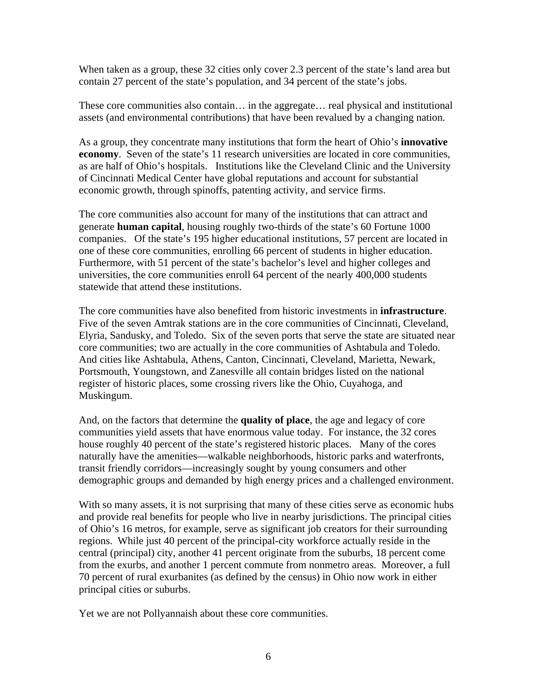When taken as a group, these 32 cities only cover 2.3 percent of the state's land area but contain 27 percent of the state's population, and 34 percent of the state's jobs.

These core communities also contain… in the aggregate… real physical and institutional assets (and environmental contributions) that have been revalued by a changing nation.

As a group, they concentrate many institutions that form the heart of Ohio's **innovative economy**. Seven of the state's 11 research universities are located in core communities, as are half of Ohio's hospitals. Institutions like the Cleveland Clinic and the University of Cincinnati Medical Center have global reputations and account for substantial economic growth, through spinoffs, patenting activity, and service firms.

The core communities also account for many of the institutions that can attract and generate **human capital**, housing roughly two-thirds of the state's 60 Fortune 1000 companies. Of the state's 195 higher educational institutions, 57 percent are located in one of these core communities, enrolling 66 percent of students in higher education. Furthermore, with 51 percent of the state's bachelor's level and higher colleges and universities, the core communities enroll 64 percent of the nearly 400,000 students statewide that attend these institutions.

The core communities have also benefited from historic investments in **infrastructure**. Five of the seven Amtrak stations are in the core communities of Cincinnati, Cleveland, Elyria, Sandusky, and Toledo. Six of the seven ports that serve the state are situated near core communities; two are actually in the core communities of Ashtabula and Toledo. And cities like Ashtabula, Athens, Canton, Cincinnati, Cleveland, Marietta, Newark, Portsmouth, Youngstown, and Zanesville all contain bridges listed on the national register of historic places, some crossing rivers like the Ohio, Cuyahoga, and Muskingum.

And, on the factors that determine the **quality of place**, the age and legacy of core communities yield assets that have enormous value today. For instance, the 32 cores house roughly 40 percent of the state's registered historic places. Many of the cores naturally have the amenities—walkable neighborhoods, historic parks and waterfronts, transit friendly corridors—increasingly sought by young consumers and other demographic groups and demanded by high energy prices and a challenged environment.

With so many assets, it is not surprising that many of these cities serve as economic hubs and provide real benefits for people who live in nearby jurisdictions. The principal cities of Ohio's 16 metros, for example, serve as significant job creators for their surrounding regions. While just 40 percent of the principal-city workforce actually reside in the central (principal) city, another 41 percent originate from the suburbs, 18 percent come from the exurbs, and another 1 percent commute from nonmetro areas. Moreover, a full 70 percent of rural exurbanites (as defined by the census) in Ohio now work in either principal cities or suburbs.

Yet we are not Pollyannaish about these core communities.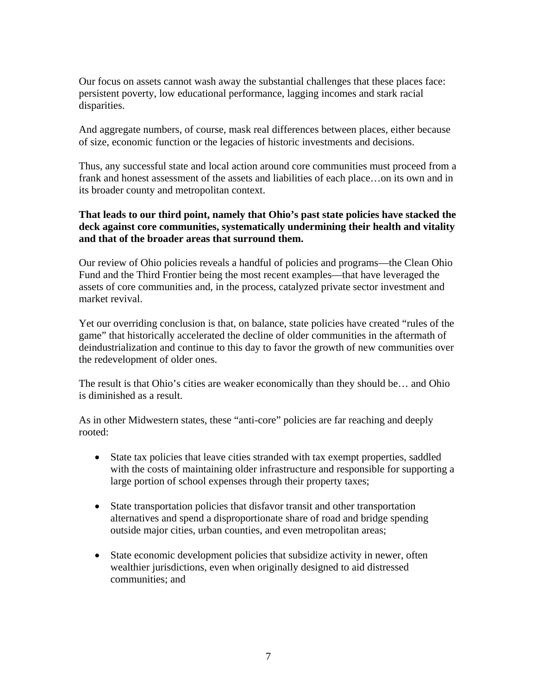Our focus on assets cannot wash away the substantial challenges that these places face: persistent poverty, low educational performance, lagging incomes and stark racial disparities.

And aggregate numbers, of course, mask real differences between places, either because of size, economic function or the legacies of historic investments and decisions.

Thus, any successful state and local action around core communities must proceed from a frank and honest assessment of the assets and liabilities of each place…on its own and in its broader county and metropolitan context.

### **That leads to our third point, namely that Ohio's past state policies have stacked the deck against core communities, systematically undermining their health and vitality and that of the broader areas that surround them.**

Our review of Ohio policies reveals a handful of policies and programs—the Clean Ohio Fund and the Third Frontier being the most recent examples—that have leveraged the assets of core communities and, in the process, catalyzed private sector investment and market revival.

Yet our overriding conclusion is that, on balance, state policies have created "rules of the game" that historically accelerated the decline of older communities in the aftermath of deindustrialization and continue to this day to favor the growth of new communities over the redevelopment of older ones.

The result is that Ohio's cities are weaker economically than they should be… and Ohio is diminished as a result.

As in other Midwestern states, these "anti-core" policies are far reaching and deeply rooted:

- State tax policies that leave cities stranded with tax exempt properties, saddled with the costs of maintaining older infrastructure and responsible for supporting a large portion of school expenses through their property taxes;
- State transportation policies that disfavor transit and other transportation alternatives and spend a disproportionate share of road and bridge spending outside major cities, urban counties, and even metropolitan areas;
- State economic development policies that subsidize activity in newer, often wealthier jurisdictions, even when originally designed to aid distressed communities; and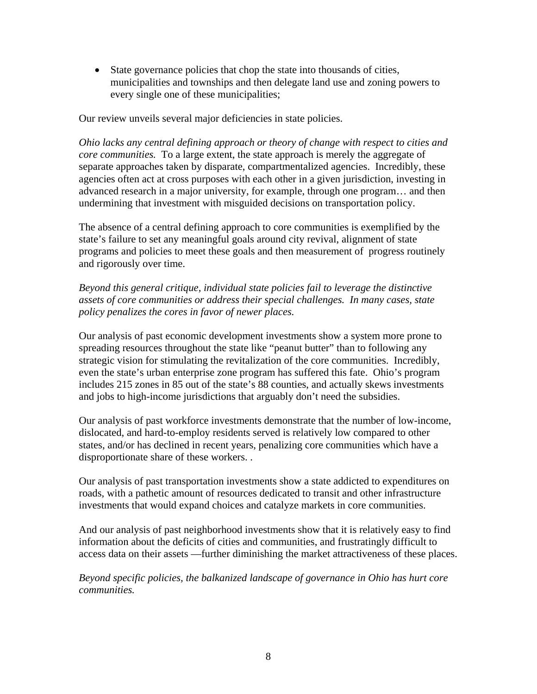• State governance policies that chop the state into thousands of cities, municipalities and townships and then delegate land use and zoning powers to every single one of these municipalities;

Our review unveils several major deficiencies in state policies.

*Ohio lacks any central defining approach or theory of change with respect to cities and core communities.* To a large extent, the state approach is merely the aggregate of separate approaches taken by disparate, compartmentalized agencies. Incredibly, these agencies often act at cross purposes with each other in a given jurisdiction, investing in advanced research in a major university, for example, through one program… and then undermining that investment with misguided decisions on transportation policy.

The absence of a central defining approach to core communities is exemplified by the state's failure to set any meaningful goals around city revival, alignment of state programs and policies to meet these goals and then measurement of progress routinely and rigorously over time.

*Beyond this general critique, individual state policies fail to leverage the distinctive assets of core communities or address their special challenges. In many cases, state policy penalizes the cores in favor of newer places.* 

Our analysis of past economic development investments show a system more prone to spreading resources throughout the state like "peanut butter" than to following any strategic vision for stimulating the revitalization of the core communities. Incredibly, even the state's urban enterprise zone program has suffered this fate. Ohio's program includes 215 zones in 85 out of the state's 88 counties, and actually skews investments and jobs to high-income jurisdictions that arguably don't need the subsidies.

Our analysis of past workforce investments demonstrate that the number of low-income, dislocated, and hard-to-employ residents served is relatively low compared to other states, and/or has declined in recent years, penalizing core communities which have a disproportionate share of these workers. .

Our analysis of past transportation investments show a state addicted to expenditures on roads, with a pathetic amount of resources dedicated to transit and other infrastructure investments that would expand choices and catalyze markets in core communities.

And our analysis of past neighborhood investments show that it is relatively easy to find information about the deficits of cities and communities, and frustratingly difficult to access data on their assets —further diminishing the market attractiveness of these places.

*Beyond specific policies, the balkanized landscape of governance in Ohio has hurt core communities.*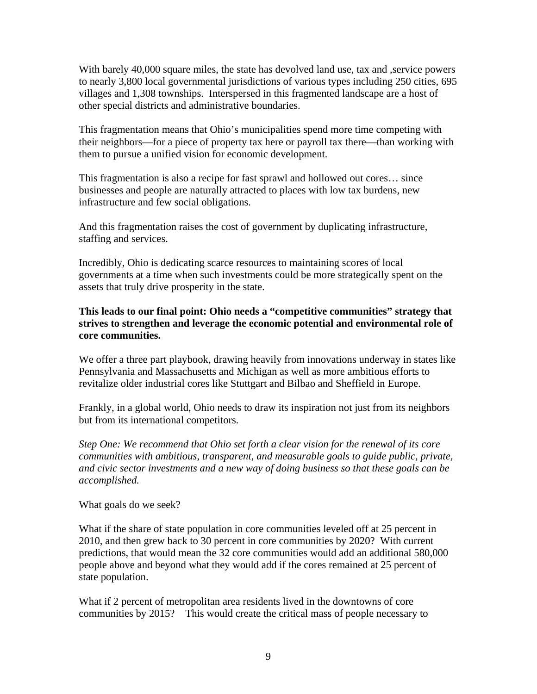With barely 40,000 square miles, the state has devolved land use, tax and , service powers to nearly 3,800 local governmental jurisdictions of various types including 250 cities, 695 villages and 1,308 townships. Interspersed in this fragmented landscape are a host of other special districts and administrative boundaries.

This fragmentation means that Ohio's municipalities spend more time competing with their neighbors—for a piece of property tax here or payroll tax there—than working with them to pursue a unified vision for economic development.

This fragmentation is also a recipe for fast sprawl and hollowed out cores… since businesses and people are naturally attracted to places with low tax burdens, new infrastructure and few social obligations.

And this fragmentation raises the cost of government by duplicating infrastructure, staffing and services.

Incredibly, Ohio is dedicating scarce resources to maintaining scores of local governments at a time when such investments could be more strategically spent on the assets that truly drive prosperity in the state.

## **This leads to our final point: Ohio needs a "competitive communities" strategy that strives to strengthen and leverage the economic potential and environmental role of core communities.**

We offer a three part playbook, drawing heavily from innovations underway in states like Pennsylvania and Massachusetts and Michigan as well as more ambitious efforts to revitalize older industrial cores like Stuttgart and Bilbao and Sheffield in Europe.

Frankly, in a global world, Ohio needs to draw its inspiration not just from its neighbors but from its international competitors.

*Step One: We recommend that Ohio set forth a clear vision for the renewal of its core communities with ambitious, transparent, and measurable goals to guide public, private, and civic sector investments and a new way of doing business so that these goals can be accomplished.* 

What goals do we seek?

What if the share of state population in core communities leveled off at 25 percent in 2010, and then grew back to 30 percent in core communities by 2020? With current predictions, that would mean the 32 core communities would add an additional 580,000 people above and beyond what they would add if the cores remained at 25 percent of state population.

What if 2 percent of metropolitan area residents lived in the downtowns of core communities by 2015? This would create the critical mass of people necessary to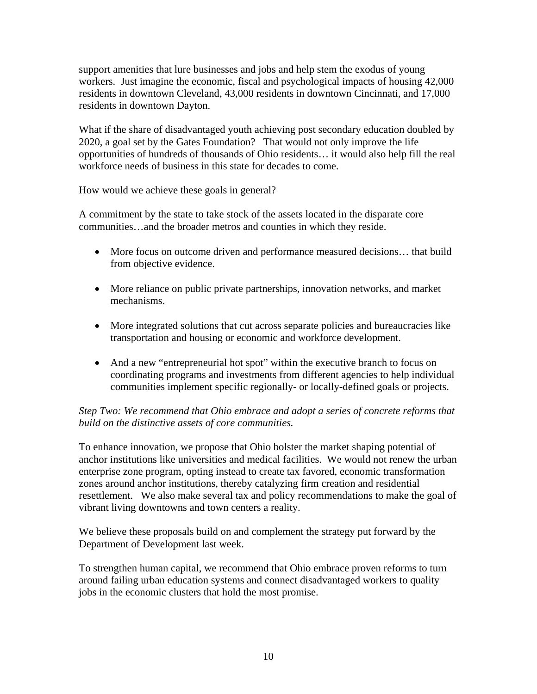support amenities that lure businesses and jobs and help stem the exodus of young workers. Just imagine the economic, fiscal and psychological impacts of housing 42,000 residents in downtown Cleveland, 43,000 residents in downtown Cincinnati, and 17,000 residents in downtown Dayton.

What if the share of disadvantaged youth achieving post secondary education doubled by 2020, a goal set by the Gates Foundation? That would not only improve the life opportunities of hundreds of thousands of Ohio residents… it would also help fill the real workforce needs of business in this state for decades to come.

How would we achieve these goals in general?

A commitment by the state to take stock of the assets located in the disparate core communities…and the broader metros and counties in which they reside.

- More focus on outcome driven and performance measured decisions... that build from objective evidence.
- More reliance on public private partnerships, innovation networks, and market mechanisms.
- More integrated solutions that cut across separate policies and bureaucracies like transportation and housing or economic and workforce development.
- And a new "entrepreneurial hot spot" within the executive branch to focus on coordinating programs and investments from different agencies to help individual communities implement specific regionally- or locally-defined goals or projects.

# *Step Two: We recommend that Ohio embrace and adopt a series of concrete reforms that build on the distinctive assets of core communities.*

To enhance innovation, we propose that Ohio bolster the market shaping potential of anchor institutions like universities and medical facilities. We would not renew the urban enterprise zone program, opting instead to create tax favored, economic transformation zones around anchor institutions, thereby catalyzing firm creation and residential resettlement. We also make several tax and policy recommendations to make the goal of vibrant living downtowns and town centers a reality.

We believe these proposals build on and complement the strategy put forward by the Department of Development last week.

To strengthen human capital, we recommend that Ohio embrace proven reforms to turn around failing urban education systems and connect disadvantaged workers to quality jobs in the economic clusters that hold the most promise.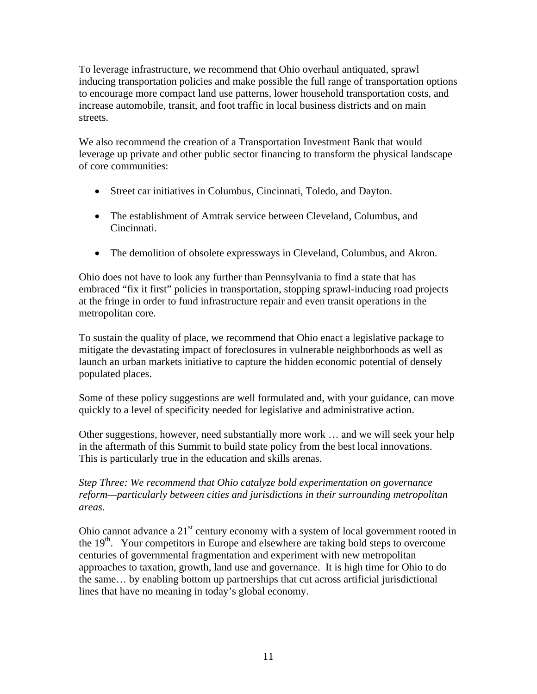To leverage infrastructure, we recommend that Ohio overhaul antiquated, sprawl inducing transportation policies and make possible the full range of transportation options to encourage more compact land use patterns, lower household transportation costs, and increase automobile, transit, and foot traffic in local business districts and on main streets.

We also recommend the creation of a Transportation Investment Bank that would leverage up private and other public sector financing to transform the physical landscape of core communities:

- Street car initiatives in Columbus, Cincinnati, Toledo, and Dayton.
- The establishment of Amtrak service between Cleveland, Columbus, and Cincinnati.
- The demolition of obsolete expressways in Cleveland, Columbus, and Akron.

Ohio does not have to look any further than Pennsylvania to find a state that has embraced "fix it first" policies in transportation, stopping sprawl-inducing road projects at the fringe in order to fund infrastructure repair and even transit operations in the metropolitan core.

To sustain the quality of place, we recommend that Ohio enact a legislative package to mitigate the devastating impact of foreclosures in vulnerable neighborhoods as well as launch an urban markets initiative to capture the hidden economic potential of densely populated places.

Some of these policy suggestions are well formulated and, with your guidance, can move quickly to a level of specificity needed for legislative and administrative action.

Other suggestions, however, need substantially more work … and we will seek your help in the aftermath of this Summit to build state policy from the best local innovations. This is particularly true in the education and skills arenas.

# *Step Three: We recommend that Ohio catalyze bold experimentation on governance reform—particularly between cities and jurisdictions in their surrounding metropolitan areas.*

Ohio cannot advance a  $21<sup>st</sup>$  century economy with a system of local government rooted in the 19<sup>th</sup>. Your competitors in Europe and elsewhere are taking bold steps to overcome centuries of governmental fragmentation and experiment with new metropolitan approaches to taxation, growth, land use and governance. It is high time for Ohio to do the same… by enabling bottom up partnerships that cut across artificial jurisdictional lines that have no meaning in today's global economy.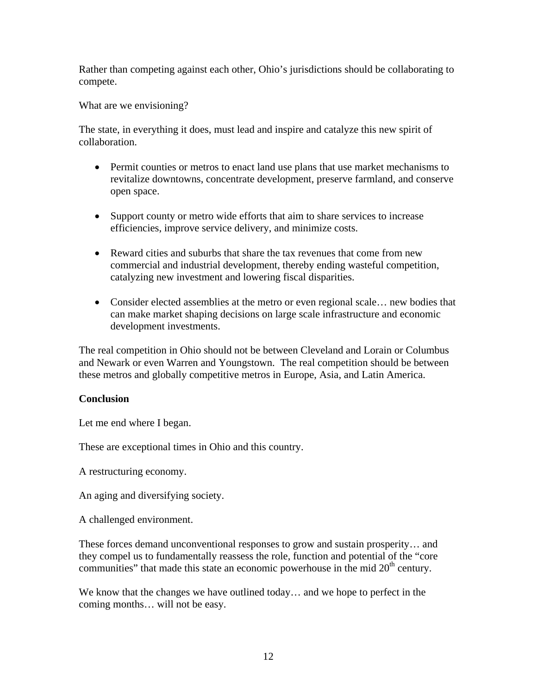Rather than competing against each other, Ohio's jurisdictions should be collaborating to compete.

What are we envisioning?

The state, in everything it does, must lead and inspire and catalyze this new spirit of collaboration.

- Permit counties or metros to enact land use plans that use market mechanisms to revitalize downtowns, concentrate development, preserve farmland, and conserve open space.
- Support county or metro wide efforts that aim to share services to increase efficiencies, improve service delivery, and minimize costs.
- Reward cities and suburbs that share the tax revenues that come from new commercial and industrial development, thereby ending wasteful competition, catalyzing new investment and lowering fiscal disparities.
- Consider elected assemblies at the metro or even regional scale... new bodies that can make market shaping decisions on large scale infrastructure and economic development investments.

The real competition in Ohio should not be between Cleveland and Lorain or Columbus and Newark or even Warren and Youngstown. The real competition should be between these metros and globally competitive metros in Europe, Asia, and Latin America.

# **Conclusion**

Let me end where I began.

These are exceptional times in Ohio and this country.

A restructuring economy.

An aging and diversifying society.

A challenged environment.

These forces demand unconventional responses to grow and sustain prosperity… and they compel us to fundamentally reassess the role, function and potential of the "core communities" that made this state an economic powerhouse in the mid  $20<sup>th</sup>$  century.

We know that the changes we have outlined today… and we hope to perfect in the coming months… will not be easy.